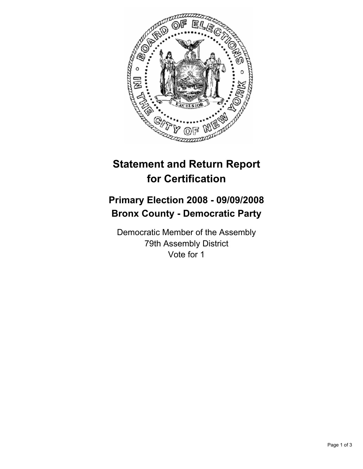

## **Statement and Return Report for Certification**

## **Primary Election 2008 - 09/09/2008 Bronx County - Democratic Party**

Democratic Member of the Assembly 79th Assembly District Vote for 1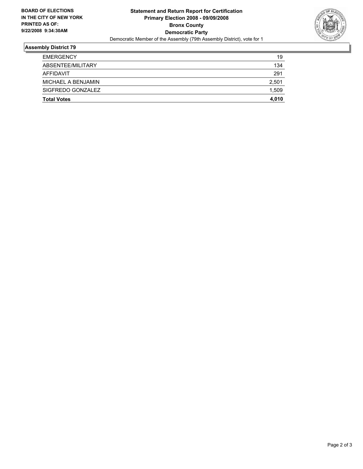

## **Assembly District 79**

| <b>Total Votes</b> | 4,010 |
|--------------------|-------|
| SIGFREDO GONZALEZ  | 1,509 |
| MICHAEL A BENJAMIN | 2,501 |
| AFFIDAVIT          | 291   |
| ABSENTEE/MILITARY  | 134   |
| <b>EMERGENCY</b>   | 19    |